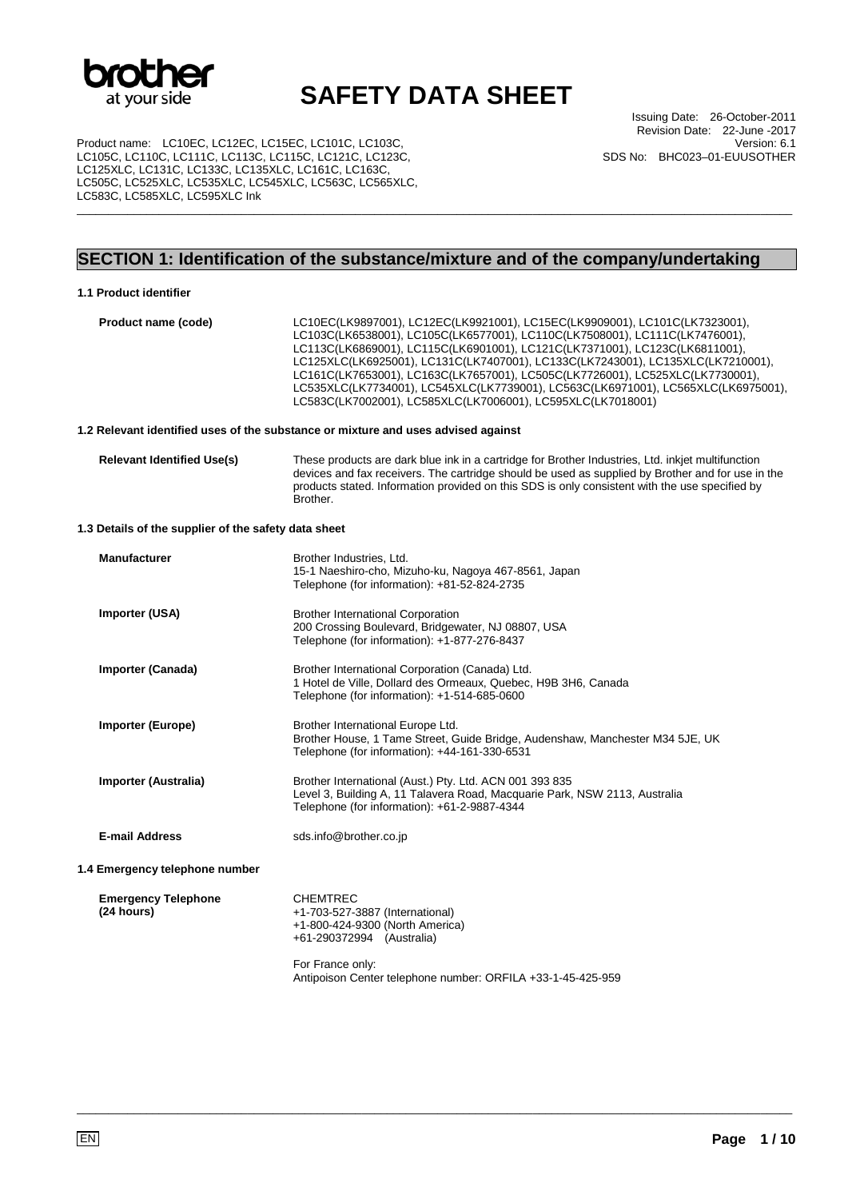

Product name: LC10EC, LC12EC, LC15EC, LC101C, LC103C, LC105C, LC110C, LC111C, LC113C, LC115C, LC121C, LC123C, LC125XLC, LC131C, LC133C, LC135XLC, LC161C, LC163C, LC505C, LC525XLC, LC535XLC, LC545XLC, LC563C, LC565XLC, LC583C, LC585XLC, LC595XLC Ink

Issuing Date: 26-October-2011 Revision Date: 22-June -2017 Version: 6.1 SDS No: BHC023–01-EUUSOTHER

## **SECTION 1: Identification of the substance/mixture and of the company/undertaking**

\_\_\_\_\_\_\_\_\_\_\_\_\_\_\_\_\_\_\_\_\_\_\_\_\_\_\_\_\_\_\_\_\_\_\_\_\_\_\_\_\_\_\_\_\_\_\_\_\_\_\_\_\_\_\_\_\_\_\_\_\_\_\_\_\_\_\_\_\_\_\_\_\_\_\_\_\_\_\_\_\_\_\_\_\_\_\_\_\_\_\_\_\_\_\_\_\_\_\_\_\_\_\_\_\_\_\_\_\_\_\_\_\_

#### **1.1 Product identifier**

**Product name (code)** LC10EC(LK9897001), LC12EC(LK9921001), LC15EC(LK9909001), LC101C(LK7323001), LC103C(LK6538001), LC105C(LK6577001), LC110C(LK7508001), LC111C(LK7476001), LC113C(LK6869001), LC115C(LK6901001), LC121C(LK7371001), LC123C(LK6811001), LC125XLC(LK6925001), LC131C(LK7407001), LC133C(LK7243001), LC135XLC(LK7210001), LC161C(LK7653001), LC163C(LK7657001), LC505C(LK7726001), LC525XLC(LK7730001), LC535XLC(LK7734001), LC545XLC(LK7739001), LC563C(LK6971001), LC565XLC(LK6975001), LC583C(LK7002001), LC585XLC(LK7006001), LC595XLC(LK7018001)

#### **1.2 Relevant identified uses of the substance or mixture and uses advised against**

| <b>Relevant Identified Use(s)</b> | These products are dark blue ink in a cartridge for Brother Industries, Ltd. inkjet multifunction |
|-----------------------------------|---------------------------------------------------------------------------------------------------|
|                                   | devices and fax receivers. The cartridge should be used as supplied by Brother and for use in the |
|                                   | products stated. Information provided on this SDS is only consistent with the use specified by    |
|                                   | Brother.                                                                                          |

#### **1.3 Details of the supplier of the safety data sheet**

| <b>Manufacturer</b>                      | Brother Industries, Ltd.<br>15-1 Naeshiro-cho, Mizuho-ku, Nagoya 467-8561, Japan<br>Telephone (for information): +81-52-824-2735                                                                      |
|------------------------------------------|-------------------------------------------------------------------------------------------------------------------------------------------------------------------------------------------------------|
| Importer (USA)                           | <b>Brother International Corporation</b><br>200 Crossing Boulevard, Bridgewater, NJ 08807, USA<br>Telephone (for information): +1-877-276-8437                                                        |
| Importer (Canada)                        | Brother International Corporation (Canada) Ltd.<br>1 Hotel de Ville, Dollard des Ormeaux, Quebec, H9B 3H6, Canada<br>Telephone (for information): +1-514-685-0600                                     |
| <b>Importer (Europe)</b>                 | Brother International Europe Ltd.<br>Brother House, 1 Tame Street, Guide Bridge, Audenshaw, Manchester M34 5JE, UK<br>Telephone (for information): +44-161-330-6531                                   |
| Importer (Australia)                     | Brother International (Aust.) Pty. Ltd. ACN 001 393 835<br>Level 3, Building A, 11 Talavera Road, Macquarie Park, NSW 2113, Australia<br>Telephone (for information): +61-2-9887-4344                 |
| <b>E-mail Address</b>                    | sds.info@brother.co.jp                                                                                                                                                                                |
| 1.4 Emergency telephone number           |                                                                                                                                                                                                       |
| <b>Emergency Telephone</b><br>(24 hours) | <b>CHEMTREC</b><br>+1-703-527-3887 (International)<br>+1-800-424-9300 (North America)<br>+61-290372994 (Australia)<br>For France only:<br>Antipoison Center telephone number: ORFILA +33-1-45-425-959 |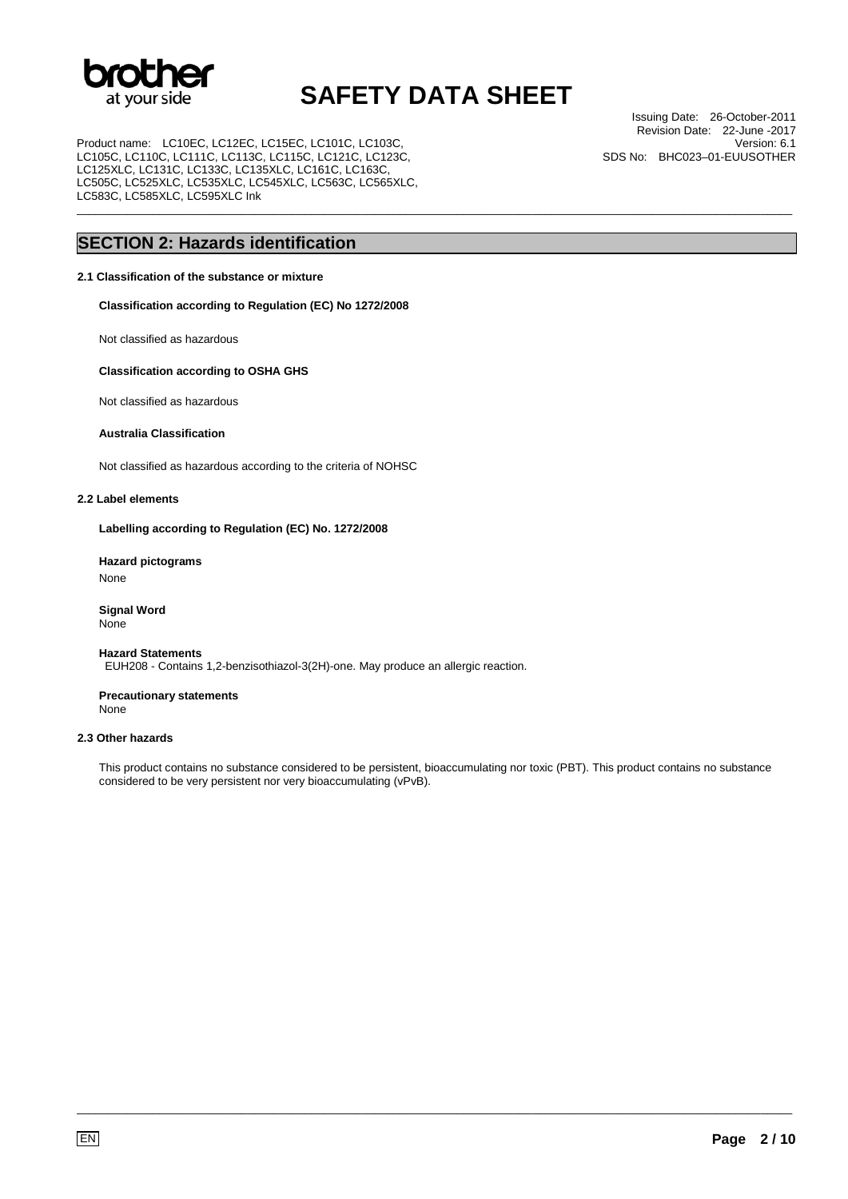

\_\_\_\_\_\_\_\_\_\_\_\_\_\_\_\_\_\_\_\_\_\_\_\_\_\_\_\_\_\_\_\_\_\_\_\_\_\_\_\_\_\_\_\_\_\_\_\_\_\_\_\_\_\_\_\_\_\_\_\_\_\_\_\_\_\_\_\_\_\_\_\_\_\_\_\_\_\_\_\_\_\_\_\_\_\_\_\_\_\_\_\_\_\_\_\_\_\_\_\_\_\_\_\_\_\_\_\_\_\_\_\_\_

Product name: LC10EC, LC12EC, LC15EC, LC101C, LC103C, LC105C, LC110C, LC111C, LC113C, LC115C, LC121C, LC123C, LC125XLC, LC131C, LC133C, LC135XLC, LC161C, LC163C, LC505C, LC525XLC, LC535XLC, LC545XLC, LC563C, LC565XLC, LC583C, LC585XLC, LC595XLC Ink

Issuing Date: 26-October-2011 Revision Date: 22-June -2017 Version: 6.1 SDS No: BHC023–01-EUUSOTHER

## **SECTION 2: Hazards identification**

### **2.1 Classification of the substance or mixture**

**Classification according to Regulation (EC) No 1272/2008** 

Not classified as hazardous

#### **Classification according to OSHA GHS**

Not classified as hazardous

### **Australia Classification**

Not classified as hazardous according to the criteria of NOHSC

#### **2.2 Label elements**

**Labelling according to Regulation (EC) No. 1272/2008** 

**Hazard pictograms**  None

**Signal Word** None

#### **Hazard Statements**

EUH208 - Contains 1,2-benzisothiazol-3(2H)-one. May produce an allergic reaction.

**Precautionary statements** None

### **2.3 Other hazards**

This product contains no substance considered to be persistent, bioaccumulating nor toxic (PBT). This product contains no substance considered to be very persistent nor very bioaccumulating (vPvB).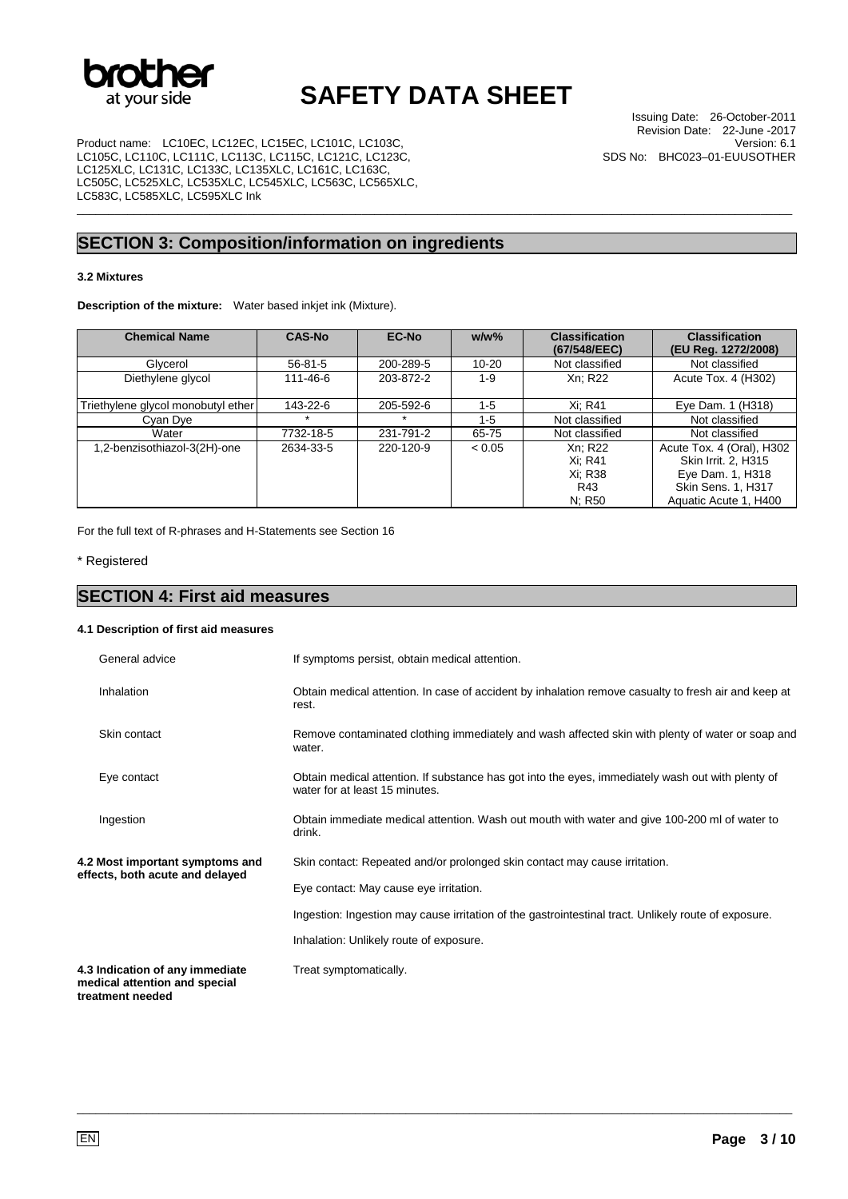

\_\_\_\_\_\_\_\_\_\_\_\_\_\_\_\_\_\_\_\_\_\_\_\_\_\_\_\_\_\_\_\_\_\_\_\_\_\_\_\_\_\_\_\_\_\_\_\_\_\_\_\_\_\_\_\_\_\_\_\_\_\_\_\_\_\_\_\_\_\_\_\_\_\_\_\_\_\_\_\_\_\_\_\_\_\_\_\_\_\_\_\_\_\_\_\_\_\_\_\_\_\_\_\_\_\_\_\_\_\_\_\_\_

Product name: LC10EC, LC12EC, LC15EC, LC101C, LC103C, LC105C, LC110C, LC111C, LC113C, LC115C, LC121C, LC123C, LC125XLC, LC131C, LC133C, LC135XLC, LC161C, LC163C, LC505C, LC525XLC, LC535XLC, LC545XLC, LC563C, LC565XLC, LC583C, LC585XLC, LC595XLC Ink

## **SECTION 3: Composition/information on ingredients**

### **3.2 Mixtures**

**Description of the mixture:** Water based inkjet ink (Mixture).

| <b>Chemical Name</b>               | <b>CAS-No</b> | <b>EC-No</b> | $w/w$ %   | <b>Classification</b><br>(67/548/EEC)          | <b>Classification</b><br>(EU Reg. 1272/2008)                                                                        |
|------------------------------------|---------------|--------------|-----------|------------------------------------------------|---------------------------------------------------------------------------------------------------------------------|
| Glycerol                           | $56-81-5$     | 200-289-5    | $10 - 20$ | Not classified                                 | Not classified                                                                                                      |
| Diethylene glycol                  | 111-46-6      | 203-872-2    | $1 - 9$   | Xn: R22                                        | Acute Tox. 4 (H302)                                                                                                 |
| Triethylene glycol monobutyl ether | 143-22-6      | 205-592-6    | $1 - 5$   | Xi: R41                                        | Eye Dam. 1 (H318)                                                                                                   |
| Cyan Dye                           |               |              | $1 - 5$   | Not classified                                 | Not classified                                                                                                      |
| Water                              | 7732-18-5     | 231-791-2    | 65-75     | Not classified                                 | Not classified                                                                                                      |
| 1,2-benzisothiazol-3(2H)-one       | 2634-33-5     | 220-120-9    | < 0.05    | Xn: R22<br>Xi: R41<br>Xi: R38<br>R43<br>N; R50 | Acute Tox. 4 (Oral), H302<br>Skin Irrit. 2. H315<br>Eye Dam. 1, H318<br>Skin Sens. 1, H317<br>Aquatic Acute 1, H400 |

For the full text of R-phrases and H-Statements see Section 16

\* Registered

## **SECTION 4: First aid measures**

#### **4.1 Description of first aid measures**

|                                                                    | General advice                                                   | If symptoms persist, obtain medical attention.                                                                                      |
|--------------------------------------------------------------------|------------------------------------------------------------------|-------------------------------------------------------------------------------------------------------------------------------------|
|                                                                    | Inhalation                                                       | Obtain medical attention. In case of accident by inhalation remove casualty to fresh air and keep at<br>rest.                       |
|                                                                    | Skin contact                                                     | Remove contaminated clothing immediately and wash affected skin with plenty of water or soap and<br>water.                          |
|                                                                    | Eye contact                                                      | Obtain medical attention. If substance has got into the eyes, immediately wash out with plenty of<br>water for at least 15 minutes. |
|                                                                    | Ingestion                                                        | Obtain immediate medical attention. Wash out mouth with water and give 100-200 ml of water to<br>drink.                             |
| 4.2 Most important symptoms and<br>effects, both acute and delayed |                                                                  | Skin contact: Repeated and/or prolonged skin contact may cause irritation.                                                          |
|                                                                    |                                                                  | Eye contact: May cause eye irritation.                                                                                              |
|                                                                    |                                                                  | Ingestion: Ingestion may cause irritation of the gastrointestinal tract. Unlikely route of exposure.                                |
|                                                                    |                                                                  | Inhalation: Unlikely route of exposure.                                                                                             |
|                                                                    | 4.3 Indication of any immediate<br>medical attention and special | Treat symptomatically.                                                                                                              |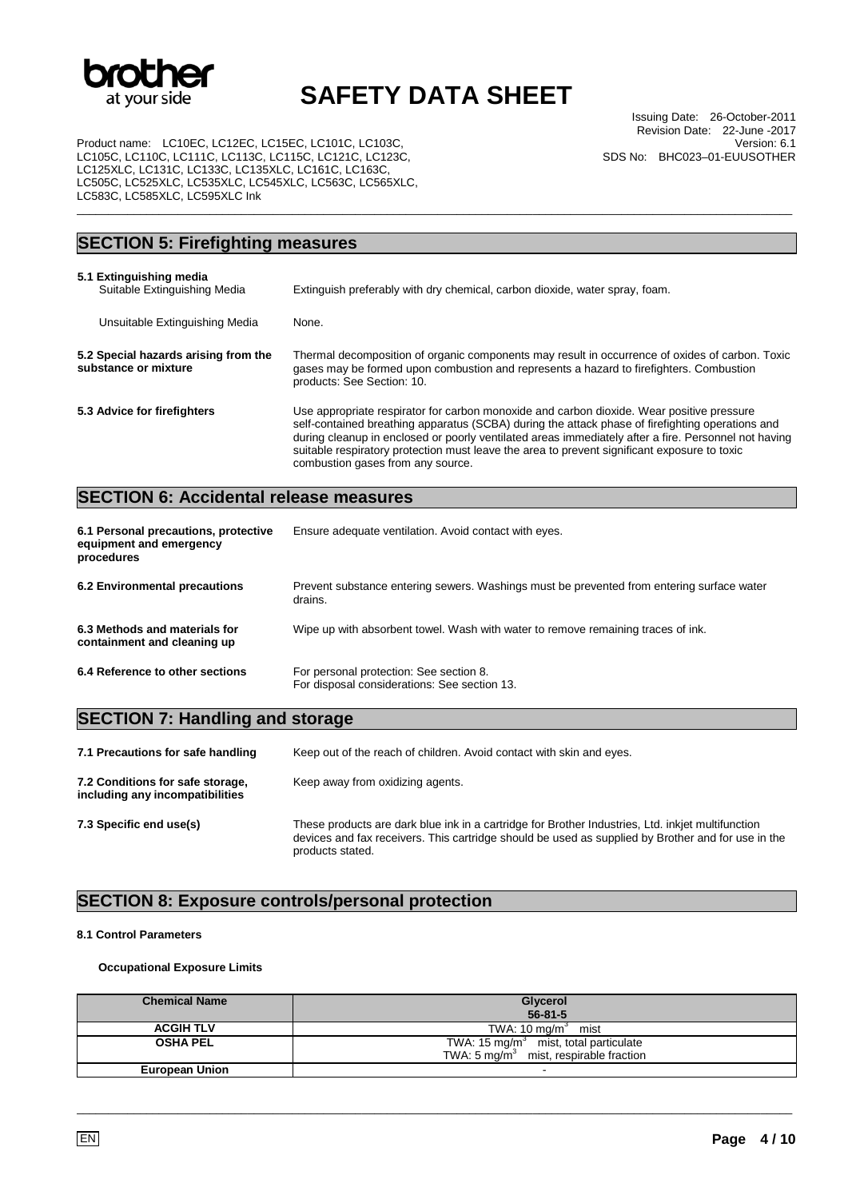

\_\_\_\_\_\_\_\_\_\_\_\_\_\_\_\_\_\_\_\_\_\_\_\_\_\_\_\_\_\_\_\_\_\_\_\_\_\_\_\_\_\_\_\_\_\_\_\_\_\_\_\_\_\_\_\_\_\_\_\_\_\_\_\_\_\_\_\_\_\_\_\_\_\_\_\_\_\_\_\_\_\_\_\_\_\_\_\_\_\_\_\_\_\_\_\_\_\_\_\_\_\_\_\_\_\_\_\_\_\_\_\_\_

Product name: LC10EC, LC12EC, LC15EC, LC101C, LC103C, LC105C, LC110C, LC111C, LC113C, LC115C, LC121C, LC123C, LC125XLC, LC131C, LC133C, LC135XLC, LC161C, LC163C, LC505C, LC525XLC, LC535XLC, LC545XLC, LC563C, LC565XLC, LC583C, LC585XLC, LC595XLC Ink

| <b>SECTION 5: Firefighting measures</b>                      |                                                                                                                                                                                                                                                                                                                                                                                                                                            |  |
|--------------------------------------------------------------|--------------------------------------------------------------------------------------------------------------------------------------------------------------------------------------------------------------------------------------------------------------------------------------------------------------------------------------------------------------------------------------------------------------------------------------------|--|
| 5.1 Extinguishing media<br>Suitable Extinguishing Media      | Extinguish preferably with dry chemical, carbon dioxide, water spray, foam.                                                                                                                                                                                                                                                                                                                                                                |  |
| Unsuitable Extinguishing Media                               | None.                                                                                                                                                                                                                                                                                                                                                                                                                                      |  |
| 5.2 Special hazards arising from the<br>substance or mixture | Thermal decomposition of organic components may result in occurrence of oxides of carbon. Toxic<br>gases may be formed upon combustion and represents a hazard to firefighters. Combustion<br>products: See Section: 10.                                                                                                                                                                                                                   |  |
| 5.3 Advice for firefighters                                  | Use appropriate respirator for carbon monoxide and carbon dioxide. Wear positive pressure<br>self-contained breathing apparatus (SCBA) during the attack phase of firefighting operations and<br>during cleanup in enclosed or poorly ventilated areas immediately after a fire. Personnel not having<br>suitable respiratory protection must leave the area to prevent significant exposure to toxic<br>combustion gases from any source. |  |

## **SECTION 6: Accidental release measures**

| 6.1 Personal precautions, protective<br>equipment and emergency<br>procedures | Ensure adequate ventilation. Avoid contact with eyes.                                                |
|-------------------------------------------------------------------------------|------------------------------------------------------------------------------------------------------|
| 6.2 Environmental precautions                                                 | Prevent substance entering sewers. Washings must be prevented from entering surface water<br>drains. |
| 6.3 Methods and materials for<br>containment and cleaning up                  | Wipe up with absorbent towel. Wash with water to remove remaining traces of ink.                     |
| 6.4 Reference to other sections                                               | For personal protection: See section 8.<br>For disposal considerations: See section 13.              |

## **SECTION 7: Handling and storage**

| 7.1 Precautions for safe handling                                   | Keep out of the reach of children. Avoid contact with skin and eyes.                                                                                                                                                        |
|---------------------------------------------------------------------|-----------------------------------------------------------------------------------------------------------------------------------------------------------------------------------------------------------------------------|
| 7.2 Conditions for safe storage,<br>including any incompatibilities | Keep away from oxidizing agents.                                                                                                                                                                                            |
| 7.3 Specific end use(s)                                             | These products are dark blue ink in a cartridge for Brother Industries, Ltd. inkjet multifunction<br>devices and fax receivers. This cartridge should be used as supplied by Brother and for use in the<br>products stated. |

## **SECTION 8: Exposure controls/personal protection**

#### **8.1 Control Parameters**

### **Occupational Exposure Limits**

| <b>Chemical Name</b>  | Glycerol<br>$56 - 81 - 5$                                                                     |
|-----------------------|-----------------------------------------------------------------------------------------------|
| <b>ACGIH TLV</b>      | TWA: 10 mg/m $3$ mist                                                                         |
| <b>OSHA PEL</b>       | TWA: 15 mg/ $m3$ mist, total particulate<br>TWA: $5 \text{ mg/m}^3$ mist, respirable fraction |
| <b>European Union</b> |                                                                                               |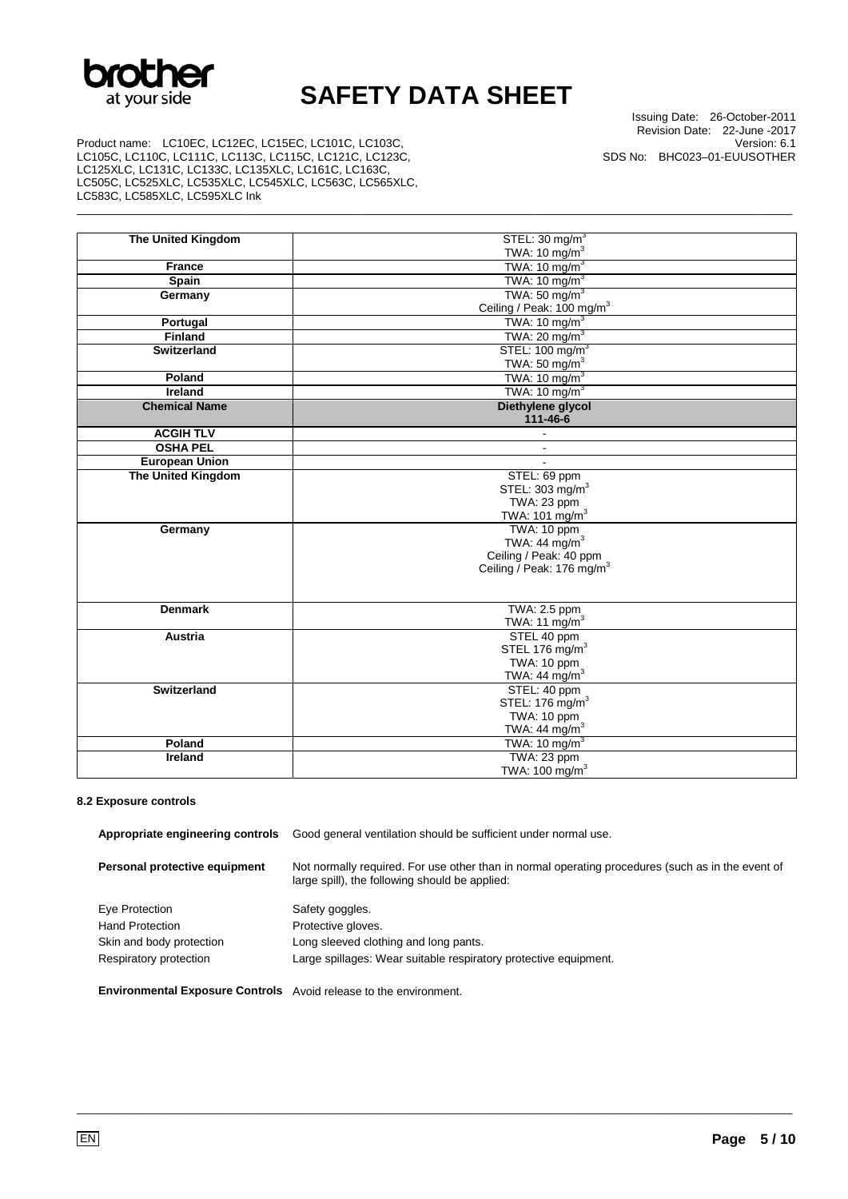

\_\_\_\_\_\_\_\_\_\_\_\_\_\_\_\_\_\_\_\_\_\_\_\_\_\_\_\_\_\_\_\_\_\_\_\_\_\_\_\_\_\_\_\_\_\_\_\_\_\_\_\_\_\_\_\_\_\_\_\_\_\_\_\_\_\_\_\_\_\_\_\_\_\_\_\_\_\_\_\_\_\_\_\_\_\_\_\_\_\_\_\_\_\_\_\_\_\_\_\_\_\_\_\_\_\_\_\_\_\_\_\_\_

Issuing Date: 26-October-2011 Revision Date: 22-June -2017 Version: 6.1 SDS No: BHC023–01-EUUSOTHER

Product name: LC10EC, LC12EC, LC15EC, LC101C, LC103C, LC105C, LC110C, LC111C, LC113C, LC115C, LC121C, LC123C, LC125XLC, LC131C, LC133C, LC135XLC, LC161C, LC163C, LC505C, LC525XLC, LC535XLC, LC545XLC, LC563C, LC565XLC, LC583C, LC585XLC, LC595XLC Ink

| <b>The United Kingdom</b> | STEL: 30 mg/m <sup>3</sup>            |
|---------------------------|---------------------------------------|
|                           | TWA: 10 mg/m $3$                      |
| <b>France</b>             | TWA: $10 \text{ mg/m}^3$              |
| Spain                     | TWA: $10 \text{ mg/m}^3$              |
| Germany                   | TWA: $50 \text{ mg/m}^3$              |
|                           | Ceiling / Peak: 100 mg/m <sup>3</sup> |
| Portugal                  | TWA: $10 \text{ mg/m}^3$              |
| <b>Finland</b>            | TWA: 20 mg/m <sup>3</sup>             |
| <b>Switzerland</b>        | STEL: 100 mg/m <sup>3</sup>           |
|                           | TWA: 50 mg/m $3$                      |
| Poland                    | TWA: $10 \text{ mg/m}^3$              |
| <b>Ireland</b>            | TWA: $10 \text{ mg/m}^3$              |
| <b>Chemical Name</b>      | Diethylene glycol                     |
|                           | 111-46-6                              |
| <b>ACGIH TLV</b>          | $\blacksquare$                        |
| <b>OSHA PEL</b>           | $\blacksquare$                        |
| <b>European Union</b>     |                                       |
| <b>The United Kingdom</b> | STEL: 69 ppm                          |
|                           | STEL: 303 mg/m <sup>3</sup>           |
|                           | TWA: 23 ppm                           |
|                           | TWA: 101 mg/m <sup>3</sup>            |
| Germany                   | TWA: 10 ppm                           |
|                           | TWA: 44 mg/m <sup>3</sup>             |
|                           | Ceiling / Peak: 40 ppm                |
|                           | Ceiling / Peak: 176 mg/m <sup>3</sup> |
|                           |                                       |
|                           |                                       |
| <b>Denmark</b>            | TWA: 2.5 ppm                          |
|                           | TWA: 11 $mg/m3$                       |
| <b>Austria</b>            | STEL 40 ppm                           |
|                           | STEL 176 mg/m <sup>3</sup>            |
|                           | TWA: 10 ppm                           |
|                           | TWA: 44 mg/m $3$                      |
| <b>Switzerland</b>        | STEL: 40 ppm                          |
|                           | STEL: 176 mg/m <sup>3</sup>           |
|                           | TWA: 10 ppm                           |
|                           | TWA: $44 \text{ mg/m}^3$              |
| Poland                    | TWA: $10 \text{ mg/m}^3$              |
| Ireland                   | TWA: 23 ppm                           |
|                           | TWA: 100 mg/m <sup>3</sup>            |

## **8.2 Exposure controls**

| Appropriate engineering controls | Good general ventilation should be sufficient under normal use.                                                                                     |  |
|----------------------------------|-----------------------------------------------------------------------------------------------------------------------------------------------------|--|
| Personal protective equipment    | Not normally required. For use other than in normal operating procedures (such as in the event of<br>large spill), the following should be applied: |  |
| Eye Protection                   | Safety goggles.                                                                                                                                     |  |
| <b>Hand Protection</b>           | Protective gloves.                                                                                                                                  |  |
| Skin and body protection         | Long sleeved clothing and long pants.                                                                                                               |  |
| Respiratory protection           | Large spillages: Wear suitable respiratory protective equipment.                                                                                    |  |
|                                  |                                                                                                                                                     |  |

\_\_\_\_\_\_\_\_\_\_\_\_\_\_\_\_\_\_\_\_\_\_\_\_\_\_\_\_\_\_\_\_\_\_\_\_\_\_\_\_\_\_\_\_\_\_\_\_\_\_\_\_\_\_\_\_\_\_\_\_\_\_\_\_\_\_\_\_\_\_\_\_\_\_\_\_\_\_\_\_\_\_\_\_\_\_\_\_\_\_\_\_\_\_\_\_\_\_\_\_\_\_\_\_\_\_\_\_\_\_\_\_\_

**Environmental Exposure Controls** Avoid release to the environment.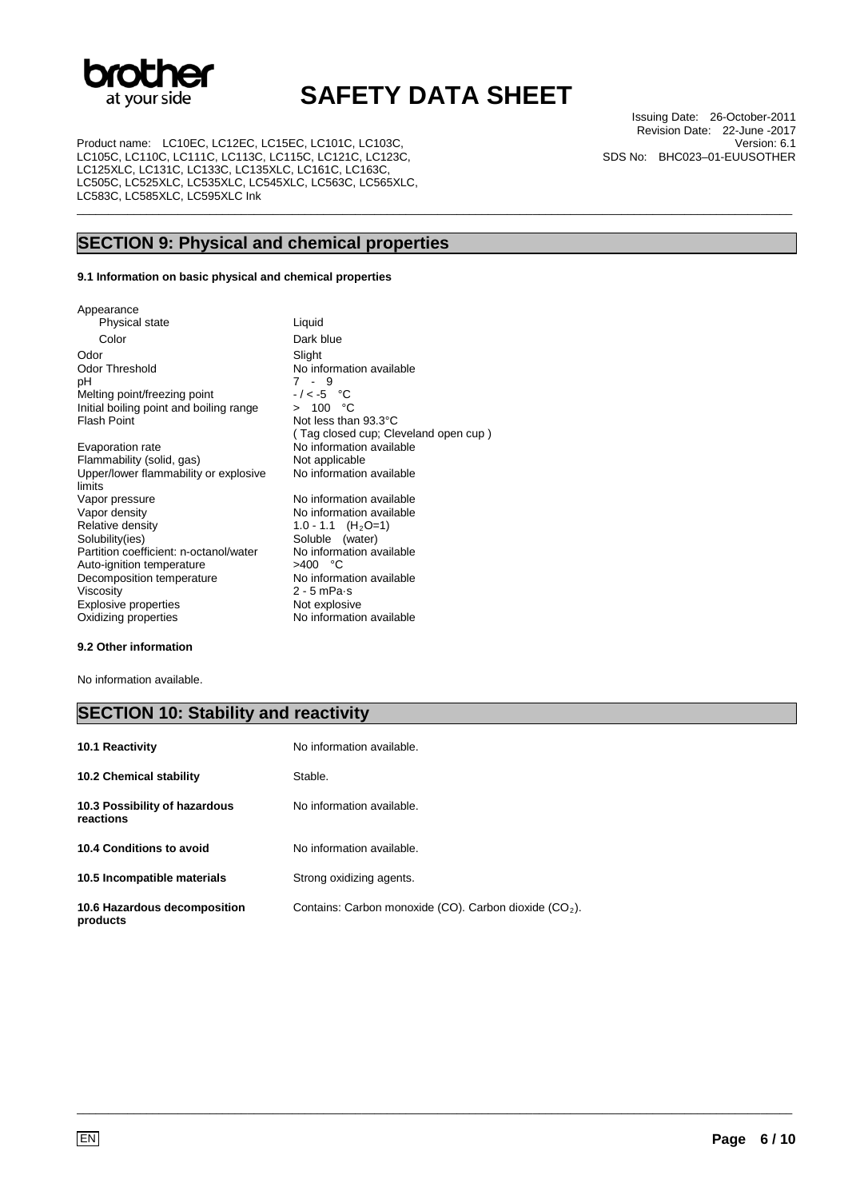

\_\_\_\_\_\_\_\_\_\_\_\_\_\_\_\_\_\_\_\_\_\_\_\_\_\_\_\_\_\_\_\_\_\_\_\_\_\_\_\_\_\_\_\_\_\_\_\_\_\_\_\_\_\_\_\_\_\_\_\_\_\_\_\_\_\_\_\_\_\_\_\_\_\_\_\_\_\_\_\_\_\_\_\_\_\_\_\_\_\_\_\_\_\_\_\_\_\_\_\_\_\_\_\_\_\_\_\_\_\_\_\_\_

Product name: LC10EC, LC12EC, LC15EC, LC101C, LC103C, LC105C, LC110C, LC111C, LC113C, LC115C, LC121C, LC123C, LC125XLC, LC131C, LC133C, LC135XLC, LC161C, LC163C, LC505C, LC525XLC, LC535XLC, LC545XLC, LC563C, LC565XLC, LC583C, LC585XLC, LC595XLC Ink

Issuing Date: 26-October-2011 Revision Date: 22-June -2017 Version: 6.1 SDS No: BHC023–01-EUUSOTHER

## **SECTION 9: Physical and chemical properties**

#### **9.1 Information on basic physical and chemical properties**

Appearance Physical state Liquid Color Dark blue Odor Slight<br>
Odor Threshold Mo inf Odor Threshold No information available<br>pH 7 - 9 Melting point/freezing point  $-/-5$  °C<br>Initial boiling point and boiling range  $> 100$  °C Initial boiling point and boiling range<br>Flash Point

Evaporation rate **No information available**<br>
Flammability (solid, gas) **Not applicable** Flammability (solid, gas) Upper/lower flammability or explosive limits<br>Vapor pressure Vapor pressure values and variable Vapor density<br>
Vapor density<br>
No information available Vapor density  $\overline{N}$  No information available<br>Relative density  $\overline{N}$  1.0 - 1.1  $(H_2O=1)$ Relative density 1.0 - 1.1 (H<sub>2</sub>O=1)<br>Solubility(ies) Soluble (water) Partition coefficient: n-octanol/water No information coefficient: n-octanol/water No information example: Auto-ignition temperature  $>400$  °C<br>Decomposition temperature No information available Decomposition temperature<br>Viscosity Explosive properties<br>Oxidizing properties

 $7 - 9$ <br>-/<-5 °C Not less than 93.3°C ( Tag closed cup; Cleveland open cup ) No information available Soluble (water)<br>No information available 2 - 5 mPa·s<br>Not explosive No information available

#### **9.2 Other information**

No information available.

## **SECTION 10: Stability and reactivity**

| 10.1 Reactivity                            | No information available.                                |
|--------------------------------------------|----------------------------------------------------------|
| <b>10.2 Chemical stability</b>             | Stable.                                                  |
| 10.3 Possibility of hazardous<br>reactions | No information available.                                |
| 10.4 Conditions to avoid                   | No information available.                                |
| 10.5 Incompatible materials                | Strong oxidizing agents.                                 |
| 10.6 Hazardous decomposition<br>products   | Contains: Carbon monoxide (CO). Carbon dioxide $(CO2)$ . |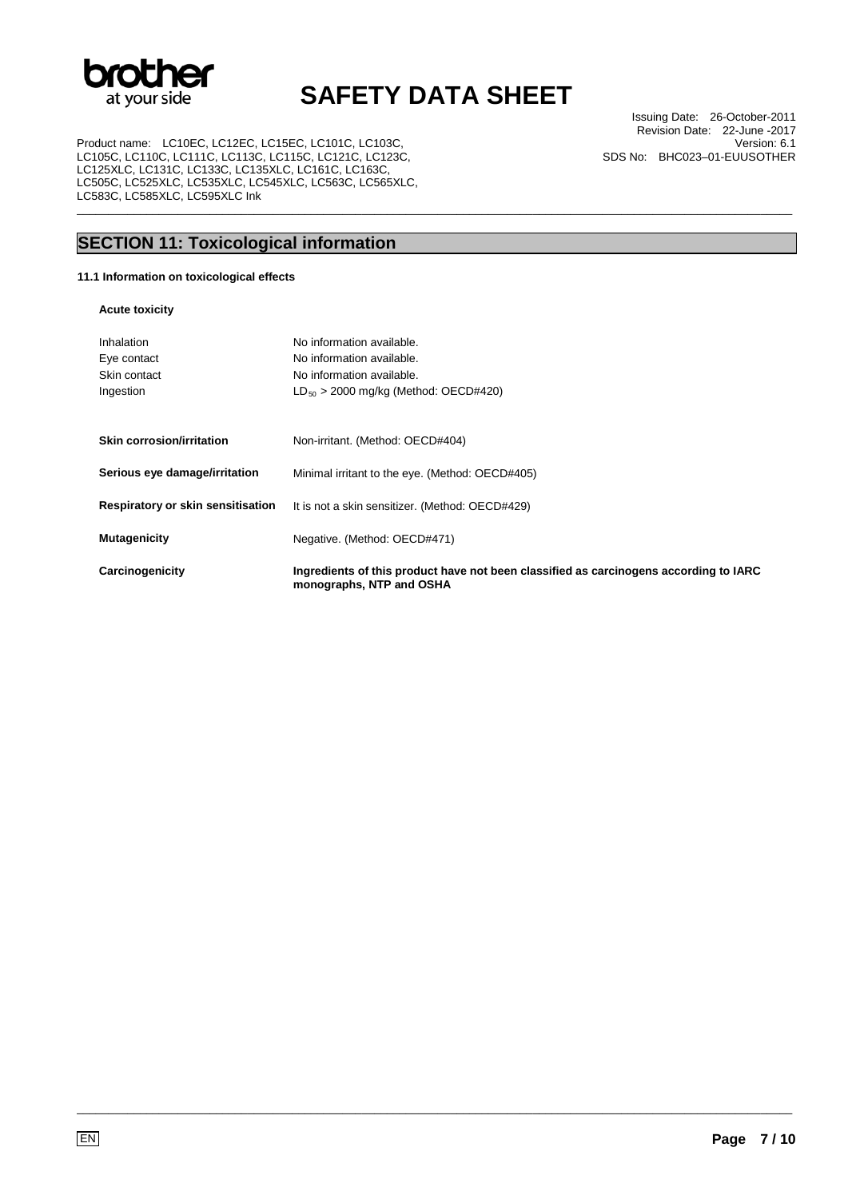

\_\_\_\_\_\_\_\_\_\_\_\_\_\_\_\_\_\_\_\_\_\_\_\_\_\_\_\_\_\_\_\_\_\_\_\_\_\_\_\_\_\_\_\_\_\_\_\_\_\_\_\_\_\_\_\_\_\_\_\_\_\_\_\_\_\_\_\_\_\_\_\_\_\_\_\_\_\_\_\_\_\_\_\_\_\_\_\_\_\_\_\_\_\_\_\_\_\_\_\_\_\_\_\_\_\_\_\_\_\_\_\_\_

Product name: LC10EC, LC12EC, LC15EC, LC101C, LC103C, LC105C, LC110C, LC111C, LC113C, LC115C, LC121C, LC123C, LC125XLC, LC131C, LC133C, LC135XLC, LC161C, LC163C, LC505C, LC525XLC, LC535XLC, LC545XLC, LC563C, LC565XLC, LC583C, LC585XLC, LC595XLC Ink

Issuing Date: 26-October-2011 Revision Date: 22-June -2017 Version: 6.1 SDS No: BHC023–01-EUUSOTHER

## **SECTION 11: Toxicological information**

## **11.1 Information on toxicological effects**

### **Acute toxicity**

| Inhalation<br>Eye contact<br>Skin contact<br>Ingestion | No information available.<br>No information available.<br>No information available.<br>$LD_{50} > 2000$ mg/kg (Method: OECD#420) |
|--------------------------------------------------------|----------------------------------------------------------------------------------------------------------------------------------|
| <b>Skin corrosion/irritation</b>                       | Non-irritant. (Method: OECD#404)                                                                                                 |
| Serious eye damage/irritation                          | Minimal irritant to the eye. (Method: OECD#405)                                                                                  |
| Respiratory or skin sensitisation                      | It is not a skin sensitizer. (Method: OECD#429)                                                                                  |
| <b>Mutagenicity</b>                                    | Negative. (Method: OECD#471)                                                                                                     |
| Carcinogenicity                                        | Ingredients of this product have not been classified as carcinogens according to IARC<br>monographs, NTP and OSHA                |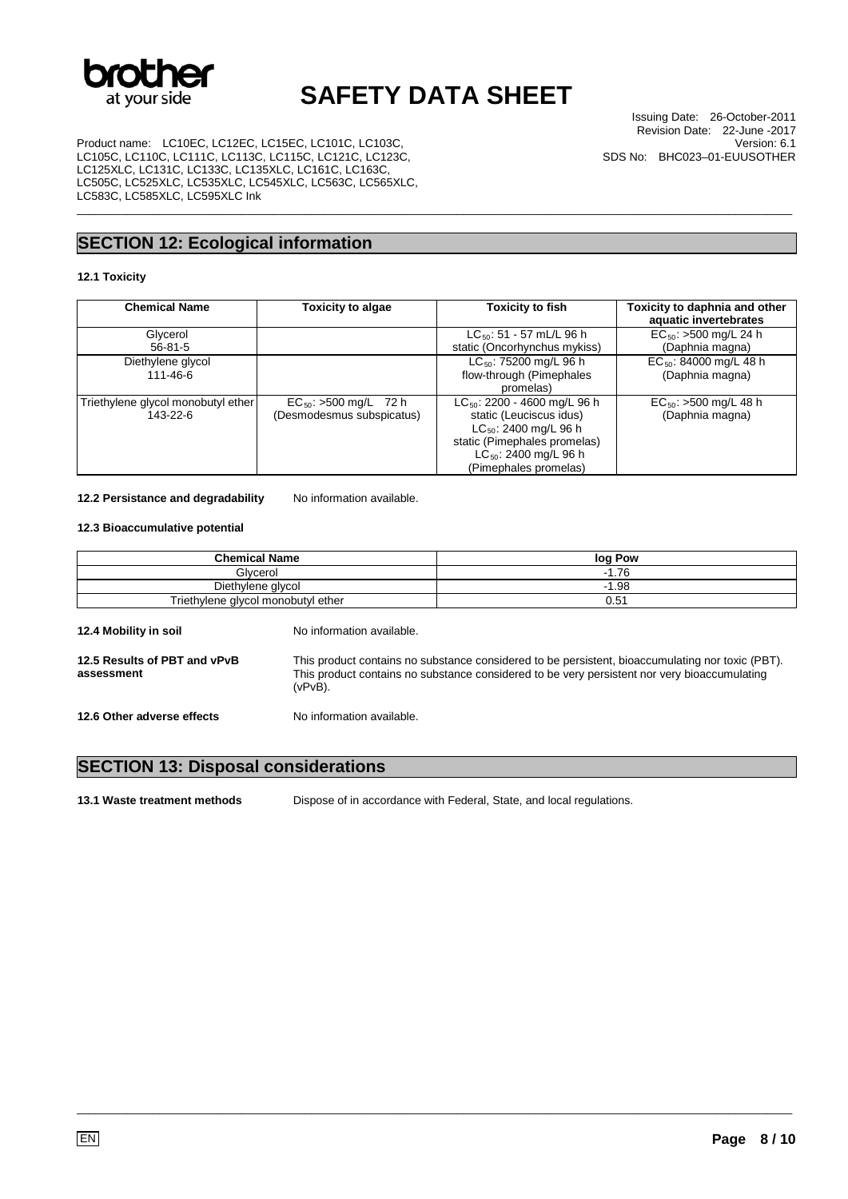

\_\_\_\_\_\_\_\_\_\_\_\_\_\_\_\_\_\_\_\_\_\_\_\_\_\_\_\_\_\_\_\_\_\_\_\_\_\_\_\_\_\_\_\_\_\_\_\_\_\_\_\_\_\_\_\_\_\_\_\_\_\_\_\_\_\_\_\_\_\_\_\_\_\_\_\_\_\_\_\_\_\_\_\_\_\_\_\_\_\_\_\_\_\_\_\_\_\_\_\_\_\_\_\_\_\_\_\_\_\_\_\_\_

Product name: LC10EC, LC12EC, LC15EC, LC101C, LC103C, LC105C, LC110C, LC111C, LC113C, LC115C, LC121C, LC123C, LC125XLC, LC131C, LC133C, LC135XLC, LC161C, LC163C, LC505C, LC525XLC, LC535XLC, LC545XLC, LC563C, LC565XLC, LC583C, LC585XLC, LC595XLC Ink

## **SECTION 12: Ecological information**

### **12.1 Toxicity**

| <b>Chemical Name</b>                           | Toxicity to algae                                       | Toxicity to fish                                                                           | Toxicity to daphnia and other<br>aquatic invertebrates |
|------------------------------------------------|---------------------------------------------------------|--------------------------------------------------------------------------------------------|--------------------------------------------------------|
| Glycerol                                       |                                                         | $LC_{50}$ : 51 - 57 mL/L 96 h                                                              | $EC_{50}$ : >500 mg/L 24 h                             |
| $56 - 81 - 5$                                  |                                                         | static (Oncorhynchus mykiss)                                                               | (Daphnia magna)                                        |
| Diethylene glycol                              |                                                         | $LC_{50}$ : 75200 mg/L 96 h                                                                | $EC_{50}$ : 84000 mg/L 48 h                            |
| 111-46-6                                       |                                                         | flow-through (Pimephales                                                                   | (Daphnia magna)                                        |
|                                                |                                                         | promelas)                                                                                  |                                                        |
| Triethylene glycol monobutyl ether<br>143-22-6 | $EC_{50}$ : >500 mg/L 72 h<br>(Desmodesmus subspicatus) | $LC_{50}$ : 2200 - 4600 mg/L 96 h<br>static (Leuciscus idus)<br>$LC_{50}$ : 2400 mg/L 96 h | $EC_{50}$ : >500 mg/L 48 h<br>(Daphnia magna)          |
|                                                |                                                         | static (Pimephales promelas)<br>$LC_{50}$ : 2400 mg/L 96 h<br>(Pimephales promelas)        |                                                        |

12.2 Persistance and degradability No information available.

### **12.3 Bioaccumulative potential**

| <b>Chemical Name</b>                       |                                                                                                                                                                                                                | log Pow |
|--------------------------------------------|----------------------------------------------------------------------------------------------------------------------------------------------------------------------------------------------------------------|---------|
| Glvcerol                                   |                                                                                                                                                                                                                | $-1.76$ |
| Diethylene glycol                          |                                                                                                                                                                                                                | $-1.98$ |
| Triethylene glycol monobutyl ether         |                                                                                                                                                                                                                | 0.51    |
| 12.4 Mobility in soil                      | No information available.                                                                                                                                                                                      |         |
| 12.5 Results of PBT and vPvB<br>assessment | This product contains no substance considered to be persistent, bioaccumulating nor toxic (PBT).<br>This product contains no substance considered to be very persistent nor very bioaccumulating<br>$(vPvB)$ . |         |
| 12.6 Other adverse effects                 | No information available.                                                                                                                                                                                      |         |

## **SECTION 13: Disposal considerations**

**13.1 Waste treatment methods** Dispose of in accordance with Federal, State, and local regulations.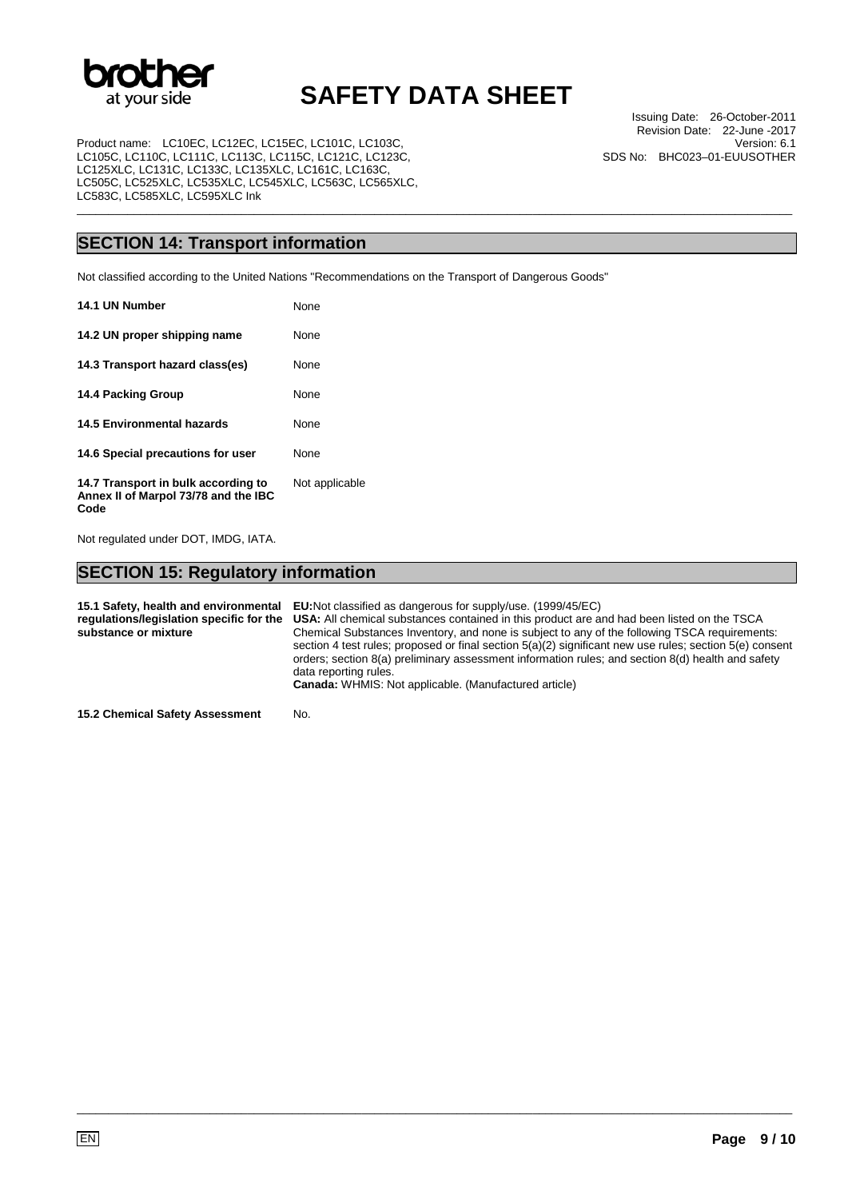

\_\_\_\_\_\_\_\_\_\_\_\_\_\_\_\_\_\_\_\_\_\_\_\_\_\_\_\_\_\_\_\_\_\_\_\_\_\_\_\_\_\_\_\_\_\_\_\_\_\_\_\_\_\_\_\_\_\_\_\_\_\_\_\_\_\_\_\_\_\_\_\_\_\_\_\_\_\_\_\_\_\_\_\_\_\_\_\_\_\_\_\_\_\_\_\_\_\_\_\_\_\_\_\_\_\_\_\_\_\_\_\_\_

Product name: LC10EC, LC12EC, LC15EC, LC101C, LC103C, LC105C, LC110C, LC111C, LC113C, LC115C, LC121C, LC123C, LC125XLC, LC131C, LC133C, LC135XLC, LC161C, LC163C, LC505C, LC525XLC, LC535XLC, LC545XLC, LC563C, LC565XLC, LC583C, LC585XLC, LC595XLC Ink

Issuing Date: 26-October-2011 Revision Date: 22-June -2017 Version: 6.1 SDS No: BHC023–01-EUUSOTHER

## **SECTION 14: Transport information**

Not classified according to the United Nations "Recommendations on the Transport of Dangerous Goods"

| 14.1 UN Number                                                                      | None           |
|-------------------------------------------------------------------------------------|----------------|
| 14.2 UN proper shipping name                                                        | None           |
| 14.3 Transport hazard class(es)                                                     | None           |
| 14.4 Packing Group                                                                  | None           |
| 14.5 Environmental hazards                                                          | None           |
| 14.6 Special precautions for user                                                   | None           |
| 14.7 Transport in bulk according to<br>Annex II of Marpol 73/78 and the IBC<br>Code | Not applicable |

Not regulated under DOT, IMDG, IATA.

## **SECTION 15: Regulatory information**

**15.1 Safety, health and environmental regulations/legislation specific for the substance or mixture EU:**Not classified as dangerous for supply/use. (1999/45/EC) **USA:** All chemical substances contained in this product are and had been listed on the TSCA Chemical Substances Inventory, and none is subject to any of the following TSCA requirements: section 4 test rules; proposed or final section 5(a)(2) significant new use rules; section 5(e) consent orders; section 8(a) preliminary assessment information rules; and section 8(d) health and safety data reporting rules. **Canada:** WHMIS: Not applicable. (Manufactured article)

\_\_\_\_\_\_\_\_\_\_\_\_\_\_\_\_\_\_\_\_\_\_\_\_\_\_\_\_\_\_\_\_\_\_\_\_\_\_\_\_\_\_\_\_\_\_\_\_\_\_\_\_\_\_\_\_\_\_\_\_\_\_\_\_\_\_\_\_\_\_\_\_\_\_\_\_\_\_\_\_\_\_\_\_\_\_\_\_\_\_\_\_\_\_\_\_\_\_\_\_\_\_\_\_\_\_\_\_\_\_\_\_\_

**15.2 Chemical Safety Assessment** No.